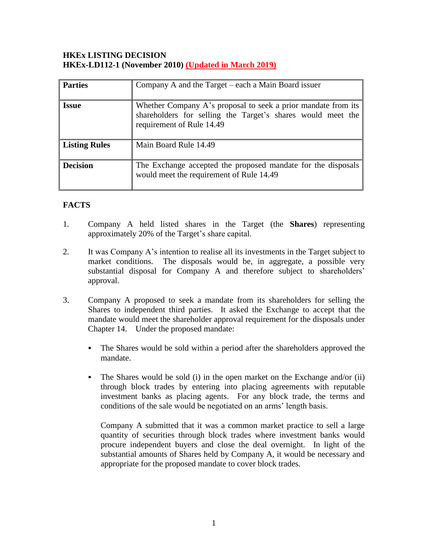### **HKEx LISTING DECISION HKEx-LD112-1 (November 2010) (Updated in March 2019)**

| <b>Parties</b>       | Company A and the Target – each a Main Board issuer                                                                                                       |
|----------------------|-----------------------------------------------------------------------------------------------------------------------------------------------------------|
| <b>Issue</b>         | Whether Company A's proposal to seek a prior mandate from its<br>shareholders for selling the Target's shares would meet the<br>requirement of Rule 14.49 |
| <b>Listing Rules</b> | Main Board Rule 14.49                                                                                                                                     |
| <b>Decision</b>      | The Exchange accepted the proposed mandate for the disposals<br>would meet the requirement of Rule 14.49                                                  |

# **FACTS**

- 1. Company A held listed shares in the Target (the **Shares**) representing approximately 20% of the Target's share capital.
- 2. It was Company A's intention to realise all its investments in the Target subject to market conditions. The disposals would be, in aggregate, a possible very substantial disposal for Company A and therefore subject to shareholders' approval.
- 3. Company A proposed to seek a mandate from its shareholders for selling the Shares to independent third parties. It asked the Exchange to accept that the mandate would meet the shareholder approval requirement for the disposals under Chapter 14. Under the proposed mandate:
	- The Shares would be sold within a period after the shareholders approved the mandate.
	- The Shares would be sold (i) in the open market on the Exchange and/or (ii) through block trades by entering into placing agreements with reputable investment banks as placing agents. For any block trade, the terms and conditions of the sale would be negotiated on an arms' length basis.

Company A submitted that it was a common market practice to sell a large quantity of securities through block trades where investment banks would procure independent buyers and close the deal overnight. In light of the substantial amounts of Shares held by Company A, it would be necessary and appropriate for the proposed mandate to cover block trades.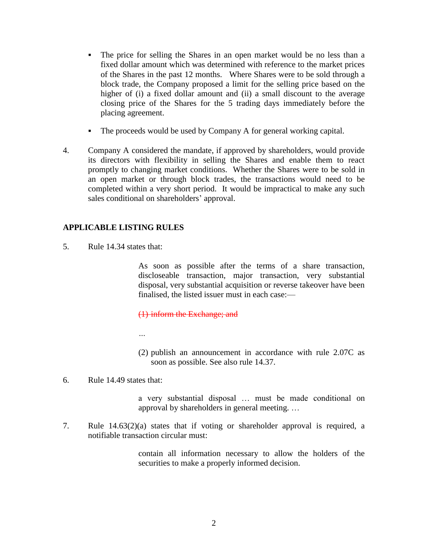- The price for selling the Shares in an open market would be no less than a fixed dollar amount which was determined with reference to the market prices of the Shares in the past 12 months. Where Shares were to be sold through a block trade, the Company proposed a limit for the selling price based on the higher of (i) a fixed dollar amount and (ii) a small discount to the average closing price of the Shares for the 5 trading days immediately before the placing agreement.
- The proceeds would be used by Company A for general working capital.
- 4. Company A considered the mandate, if approved by shareholders, would provide its directors with flexibility in selling the Shares and enable them to react promptly to changing market conditions. Whether the Shares were to be sold in an open market or through block trades, the transactions would need to be completed within a very short period. It would be impractical to make any such sales conditional on shareholders' approval.

#### **APPLICABLE LISTING RULES**

5. Rule 14.34 states that:

As soon as possible after the terms of a share transaction, discloseable transaction, major transaction, very substantial disposal, very substantial acquisition or reverse takeover have been finalised, the listed issuer must in each case:—

(1) inform the Exchange; and

*…*

- (2) publish an announcement in accordance with rule 2.07C as soon as possible. See also rule 14.37.
- 6. Rule 14.49 states that:

a very substantial disposal … must be made conditional on approval by shareholders in general meeting. …

7. Rule 14.63(2)(a) states that if voting or shareholder approval is required, a notifiable transaction circular must:

> contain all information necessary to allow the holders of the securities to make a properly informed decision.